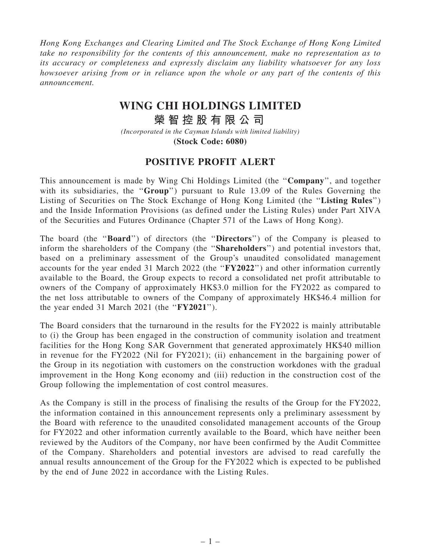Hong Kong Exchanges and Clearing Limited and The Stock Exchange of Hong Kong Limited take no responsibility for the contents of this announcement, make no representation as to its accuracy or completeness and expressly disclaim any liability whatsoever for any loss howsoever arising from or in reliance upon the whole or any part of the contents of this announcement.

## **WING CHI HOLDINGS LIMITED**

**榮 智 控 股 有 限 公 司**

*(Incorporated in the Cayman Islands with limited liability)* **(Stock Code: 6080)**

## POSITIVE PROFIT ALERT

This announcement is made by Wing Chi Holdings Limited (the "Company", and together with its subsidiaries, the "Group") pursuant to Rule 13.09 of the Rules Governing the Listing of Securities on The Stock Exchange of Hong Kong Limited (the ''Listing Rules'') and the Inside Information Provisions (as defined under the Listing Rules) under Part XIVA of the Securities and Futures Ordinance (Chapter 571 of the Laws of Hong Kong).

The board (the ''Board'') of directors (the ''Directors'') of the Company is pleased to inform the shareholders of the Company (the "**Shareholders**") and potential investors that, based on a preliminary assessment of the Group's unaudited consolidated management accounts for the year ended 31 March 2022 (the ''FY2022'') and other information currently available to the Board, the Group expects to record a consolidated net profit attributable to owners of the Company of approximately HK\$3.0 million for the FY2022 as compared to the net loss attributable to owners of the Company of approximately HK\$46.4 million for the year ended 31 March 2021 (the "FY2021").

The Board considers that the turnaround in the results for the FY2022 is mainly attributable to (i) the Group has been engaged in the construction of community isolation and treatment facilities for the Hong Kong SAR Government that generated approximately HK\$40 million in revenue for the FY2022 (Nil for FY2021); (ii) enhancement in the bargaining power of the Group in its negotiation with customers on the construction workdones with the gradual improvement in the Hong Kong economy and (iii) reduction in the construction cost of the Group following the implementation of cost control measures.

As the Company is still in the process of finalising the results of the Group for the FY2022, the information contained in this announcement represents only a preliminary assessment by the Board with reference to the unaudited consolidated management accounts of the Group for FY2022 and other information currently available to the Board, which have neither been reviewed by the Auditors of the Company, nor have been confirmed by the Audit Committee of the Company. Shareholders and potential investors are advised to read carefully the annual results announcement of the Group for the FY2022 which is expected to be published by the end of June 2022 in accordance with the Listing Rules.